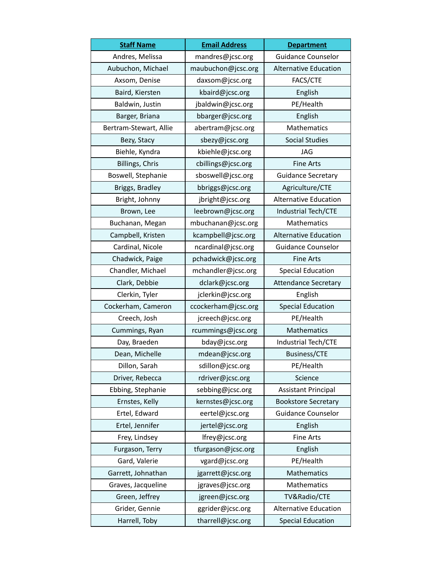| <b>Staff Name</b>      | <b>Email Address</b> | <b>Department</b>            |
|------------------------|----------------------|------------------------------|
| Andres, Melissa        | mandres@jcsc.org     | Guidance Counselor           |
| Aubuchon, Michael      | maubuchon@jcsc.org   | Alternative Education        |
| Axsom, Denise          | daxsom@jcsc.org      | FACS/CTE                     |
| Baird, Kiersten        | kbaird@jcsc.org      | English                      |
| Baldwin, Justin        | jbaldwin@jcsc.org    | PE/Health                    |
| Barger, Briana         | bbarger@jcsc.org     | English                      |
| Bertram-Stewart, Allie | abertram@jcsc.org    | Mathematics                  |
| Bezy, Stacy            | sbezy@jcsc.org       | <b>Social Studies</b>        |
| Biehle, Kyndra         | kbiehle@jcsc.org     | <b>JAG</b>                   |
| Billings, Chris        | cbillings@jcsc.org   | <b>Fine Arts</b>             |
| Boswell, Stephanie     | sboswell@jcsc.org    | <b>Guidance Secretary</b>    |
| Briggs, Bradley        | bbriggs@jcsc.org     | Agriculture/CTE              |
| Bright, Johnny         | jbright@jcsc.org     | <b>Alternative Education</b> |
| Brown, Lee             | leebrown@jcsc.org    | Industrial Tech/CTE          |
| Buchanan, Megan        | mbuchanan@jcsc.org   | Mathematics                  |
| Campbell, Kristen      | kcampbell@jcsc.org   | <b>Alternative Education</b> |
| Cardinal, Nicole       | ncardinal@jcsc.org   | Guidance Counselor           |
| Chadwick, Paige        | pchadwick@jcsc.org   | <b>Fine Arts</b>             |
| Chandler, Michael      | mchandler@jcsc.org   | <b>Special Education</b>     |
| Clark, Debbie          | dclark@jcsc.org      | <b>Attendance Secretary</b>  |
| Clerkin, Tyler         | jclerkin@jcsc.org    | English                      |
| Cockerham, Cameron     | ccockerham@jcsc.org  | <b>Special Education</b>     |
| Creech, Josh           | jcreech@jcsc.org     | PE/Health                    |
| Cummings, Ryan         | rcummings@jcsc.org   | Mathematics                  |
| Day, Braeden           | bday@jcsc.org        | Industrial Tech/CTE          |
| Dean, Michelle         | mdean@jcsc.org       | <b>Business/CTE</b>          |
| Dillon, Sarah          | sdillon@jcsc.org     | PE/Health                    |
| Driver, Rebecca        | rdriver@jcsc.org     | Science                      |
| Ebbing, Stephanie      | sebbing@jcsc.org     | <b>Assistant Principal</b>   |
| Ernstes, Kelly         | kernstes@jcsc.org    | <b>Bookstore Secretary</b>   |
| Ertel, Edward          | eertel@jcsc.org      | <b>Guidance Counselor</b>    |
| Ertel, Jennifer        | jertel@jcsc.org      | English                      |
| Frey, Lindsey          | lfrey@jcsc.org       | Fine Arts                    |
| Furgason, Terry        | tfurgason@jcsc.org   | English                      |
| Gard, Valerie          | vgard@jcsc.org       | PE/Health                    |
| Garrett, Johnathan     | jgarrett@jcsc.org    | Mathematics                  |
| Graves, Jacqueline     | jgraves@jcsc.org     | Mathematics                  |
| Green, Jeffrey         | jgreen@jcsc.org      | TV&Radio/CTE                 |
| Grider, Gennie         | ggrider@jcsc.org     | <b>Alternative Education</b> |
| Harrell, Toby          | tharrell@jcsc.org    | <b>Special Education</b>     |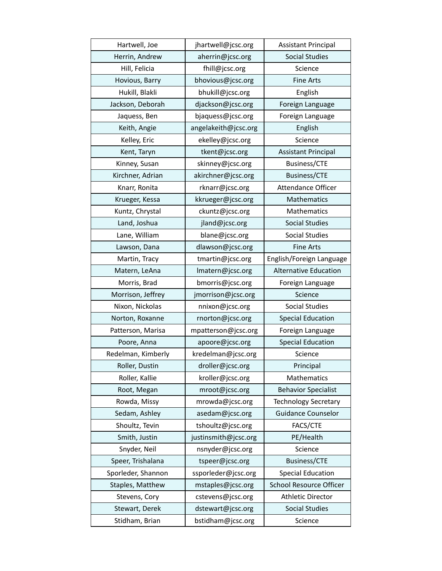| Hartwell, Joe      | jhartwell@jcsc.org   | <b>Assistant Principal</b>     |
|--------------------|----------------------|--------------------------------|
| Herrin, Andrew     | aherrin@jcsc.org     | <b>Social Studies</b>          |
| Hill, Felicia      | fhill@jcsc.org       | Science                        |
| Hovious, Barry     | bhovious@jcsc.org    | <b>Fine Arts</b>               |
| Hukill, Blakli     | bhukill@jcsc.org     | English                        |
| Jackson, Deborah   | djackson@jcsc.org    | Foreign Language               |
| Jaquess, Ben       | bjaquess@jcsc.org    | Foreign Language               |
| Keith, Angie       | angelakeith@jcsc.org | English                        |
| Kelley, Eric       | ekelley@jcsc.org     | Science                        |
| Kent, Taryn        | tkent@jcsc.org       | <b>Assistant Principal</b>     |
| Kinney, Susan      | skinney@jcsc.org     | <b>Business/CTE</b>            |
| Kirchner, Adrian   | akirchner@jcsc.org   | <b>Business/CTE</b>            |
| Knarr, Ronita      | rknarr@jcsc.org      | Attendance Officer             |
| Krueger, Kessa     | kkrueger@jcsc.org    | Mathematics                    |
| Kuntz, Chrystal    | ckuntz@jcsc.org      | Mathematics                    |
| Land, Joshua       | jland@jcsc.org       | <b>Social Studies</b>          |
| Lane, William      | blane@jcsc.org       | <b>Social Studies</b>          |
| Lawson, Dana       | dlawson@jcsc.org     | <b>Fine Arts</b>               |
| Martin, Tracy      | tmartin@jcsc.org     | English/Foreign Language       |
| Matern, LeAna      | Imatern@jcsc.org     | Alternative Education          |
| Morris, Brad       | bmorris@jcsc.org     | Foreign Language               |
| Morrison, Jeffrey  | jmorrison@jcsc.org   | Science                        |
| Nixon, Nickolas    | nnixon@jcsc.org      | <b>Social Studies</b>          |
| Norton, Roxanne    | rnorton@jcsc.org     | <b>Special Education</b>       |
| Patterson, Marisa  | mpatterson@jcsc.org  | Foreign Language               |
| Poore, Anna        | apoore@jcsc.org      | <b>Special Education</b>       |
| Redelman, Kimberly | kredelman@jcsc.org   | Science                        |
| Roller, Dustin     | droller@jcsc.org     | Principal                      |
| Roller, Kallie     | kroller@jcsc.org     | Mathematics                    |
| Root, Megan        | mroot@jcsc.org       | <b>Behavior Specialist</b>     |
| Rowda, Missy       | mrowda@jcsc.org      | <b>Technology Secretary</b>    |
| Sedam, Ashley      | asedam@jcsc.org      | <b>Guidance Counselor</b>      |
| Shoultz, Tevin     | tshoultz@jcsc.org    | FACS/CTE                       |
| Smith, Justin      | justinsmith@jcsc.org | PE/Health                      |
| Snyder, Neil       | nsnyder@jcsc.org     | Science                        |
| Speer, Trishalana  | tspeer@jcsc.org      | <b>Business/CTE</b>            |
| Sporleder, Shannon | ssporleder@jcsc.org  | <b>Special Education</b>       |
| Staples, Matthew   | mstaples@jcsc.org    | <b>School Resource Officer</b> |
| Stevens, Cory      | cstevens@jcsc.org    | <b>Athletic Director</b>       |
| Stewart, Derek     | dstewart@jcsc.org    | <b>Social Studies</b>          |
| Stidham, Brian     | bstidham@jcsc.org    | Science                        |